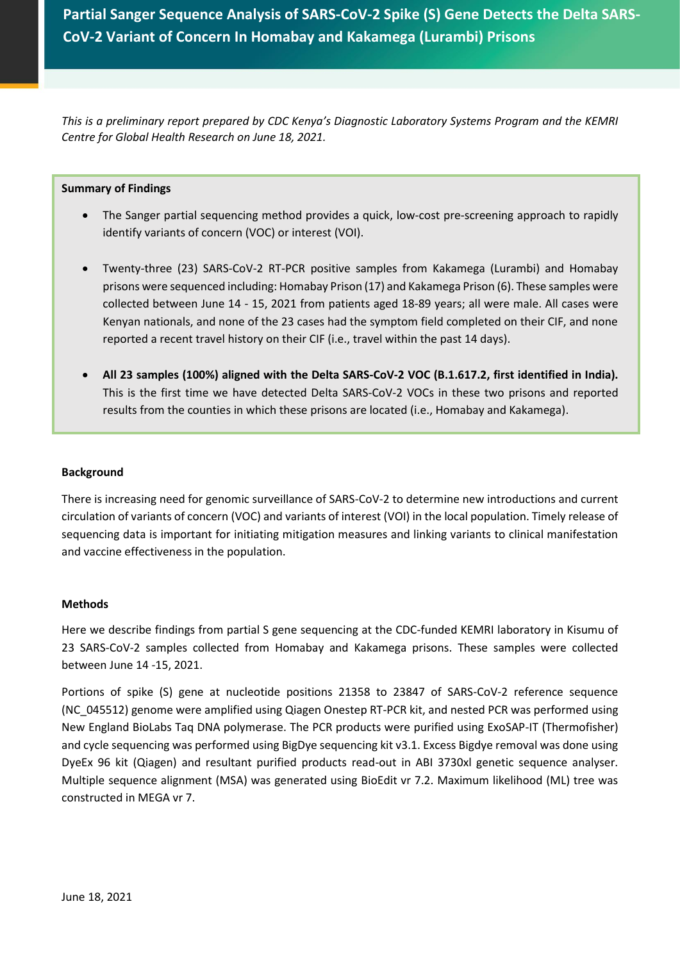**Partial Sanger Sequence Analysis of SARS-CoV-2 Spike (S) Gene Detects the Delta SARS-CoV-2 Variant of Concern In Homabay and Kakamega (Lurambi) Prisons**

*This is a preliminary report prepared by CDC Kenya's Diagnostic Laboratory Systems Program and the KEMRI Centre for Global Health Research on June 18, 2021.*

## **Summary of Findings**

- The Sanger partial sequencing method provides a quick, low-cost pre-screening approach to rapidly identify variants of concern (VOC) or interest (VOI).
- Twenty-three (23) SARS-CoV-2 RT-PCR positive samples from Kakamega (Lurambi) and Homabay prisons were sequenced including: Homabay Prison (17) and Kakamega Prison (6). These samples were collected between June 14 - 15, 2021 from patients aged 18-89 years; all were male. All cases were Kenyan nationals, and none of the 23 cases had the symptom field completed on their CIF, and none reported a recent travel history on their CIF (i.e., travel within the past 14 days).
- **All 23 samples (100%) aligned with the Delta SARS-CoV-2 VOC (B.1.617.2, first identified in India).**  This is the first time we have detected Delta SARS-CoV-2 VOCs in these two prisons and reported results from the counties in which these prisons are located (i.e., Homabay and Kakamega).

## **Background**

There is increasing need for genomic surveillance of SARS-CoV-2 to determine new introductions and current circulation of variants of concern (VOC) and variants of interest (VOI) in the local population. Timely release of sequencing data is important for initiating mitigation measures and linking variants to clinical manifestation and vaccine effectiveness in the population.

#### **Methods**

Here we describe findings from partial S gene sequencing at the CDC-funded KEMRI laboratory in Kisumu of 23 SARS-CoV-2 samples collected from Homabay and Kakamega prisons. These samples were collected between June 14 -15, 2021.

Portions of spike (S) gene at nucleotide positions 21358 to 23847 of SARS-CoV-2 reference sequence (NC\_045512) genome were amplified using Qiagen Onestep RT-PCR kit, and nested PCR was performed using New England BioLabs Taq DNA polymerase. The PCR products were purified using ExoSAP-IT (Thermofisher) and cycle sequencing was performed using BigDye sequencing kit v3.1. Excess Bigdye removal was done using DyeEx 96 kit (Qiagen) and resultant purified products read-out in ABI 3730xl genetic sequence analyser. Multiple sequence alignment (MSA) was generated using BioEdit vr 7.2. Maximum likelihood (ML) tree was constructed in MEGA vr 7.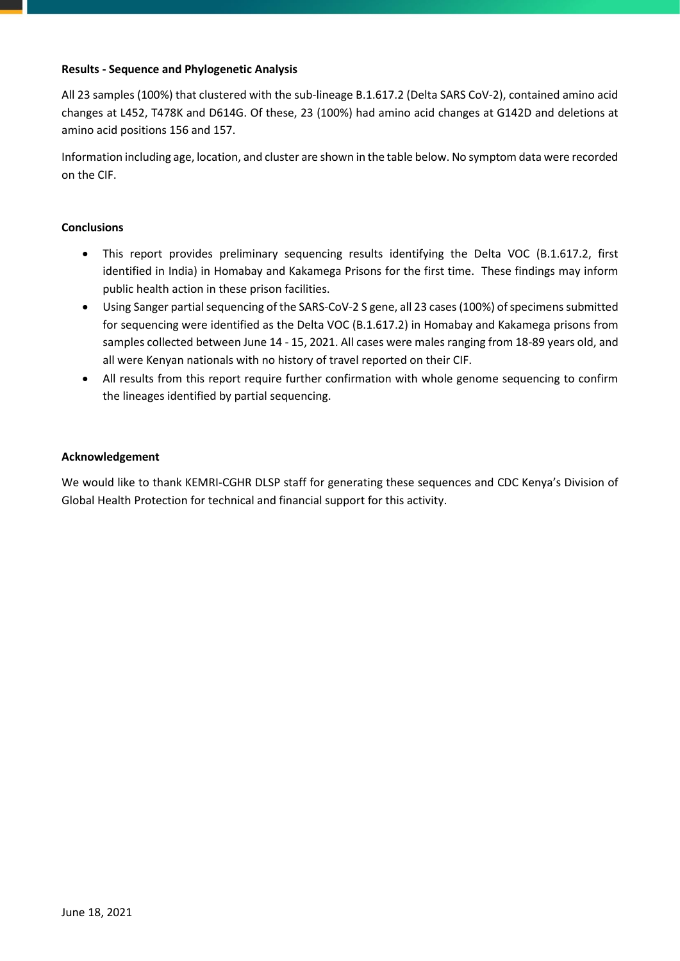# **Results - Sequence and Phylogenetic Analysis**

All 23 samples (100%) that clustered with the sub-lineage B.1.617.2 (Delta SARS CoV-2), contained amino acid changes at L452, T478K and D614G. Of these, 23 (100%) had amino acid changes at G142D and deletions at amino acid positions 156 and 157.

Information including age, location, and cluster are shown in the table below. No symptom data were recorded on the CIF.

# **Conclusions**

- This report provides preliminary sequencing results identifying the Delta VOC (B.1.617.2, first identified in India) in Homabay and Kakamega Prisons for the first time. These findings may inform public health action in these prison facilities.
- Using Sanger partial sequencing of the SARS-CoV-2 S gene, all 23 cases(100%) of specimens submitted for sequencing were identified as the Delta VOC (B.1.617.2) in Homabay and Kakamega prisons from samples collected between June 14 - 15, 2021. All cases were males ranging from 18-89 years old, and all were Kenyan nationals with no history of travel reported on their CIF.
- All results from this report require further confirmation with whole genome sequencing to confirm the lineages identified by partial sequencing.

## **Acknowledgement**

We would like to thank KEMRI-CGHR DLSP staff for generating these sequences and CDC Kenya's Division of Global Health Protection for technical and financial support for this activity.